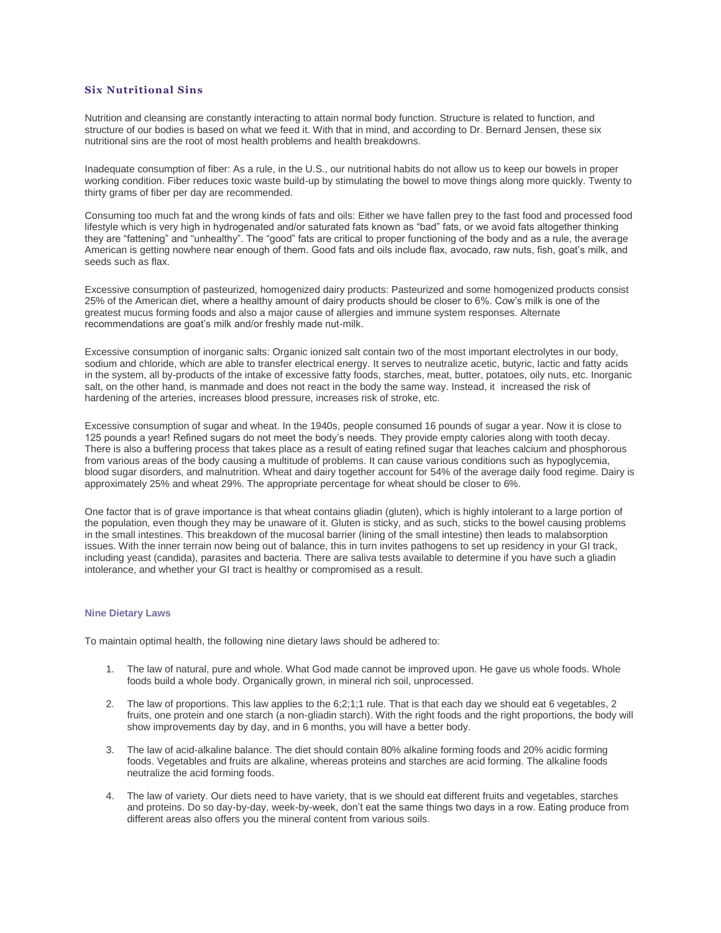## **Six Nutritional Sins**

Nutrition and cleansing are constantly interacting to attain normal body function. Structure is related to function, and structure of our bodies is based on what we feed it. With that in mind, and according to Dr. Bernard Jensen, these six nutritional sins are the root of most health problems and health breakdowns.

Inadequate consumption of fiber: As a rule, in the U.S., our nutritional habits do not allow us to keep our bowels in proper working condition. Fiber reduces toxic waste build-up by stimulating the bowel to move things along more quickly. Twenty to thirty grams of fiber per day are recommended.

Consuming too much fat and the wrong kinds of fats and oils: Either we have fallen prey to the fast food and processed food lifestyle which is very high in hydrogenated and/or saturated fats known as "bad" fats, or we avoid fats altogether thinking they are "fattening" and "unhealthy". The "good" fats are critical to proper functioning of the body and as a rule, the average American is getting nowhere near enough of them. Good fats and oils include flax, avocado, raw nuts, fish, goat's milk, and seeds such as flax.

Excessive consumption of pasteurized, homogenized dairy products: Pasteurized and some homogenized products consist 25% of the American diet, where a healthy amount of dairy products should be closer to 6%. Cow's milk is one of the greatest mucus forming foods and also a major cause of allergies and immune system responses. Alternate recommendations are goat's milk and/or freshly made nut-milk.

Excessive consumption of inorganic salts: Organic ionized salt contain two of the most important electrolytes in our body, sodium and chloride, which are able to transfer electrical energy. It serves to neutralize acetic, butyric, lactic and fatty acids in the system, all by-products of the intake of excessive fatty foods, starches, meat, butter, potatoes, oily nuts, etc. Inorganic salt, on the other hand, is manmade and does not react in the body the same way. Instead, it increased the risk of hardening of the arteries, increases blood pressure, increases risk of stroke, etc.

Excessive consumption of sugar and wheat. In the 1940s, people consumed 16 pounds of sugar a year. Now it is close to 125 pounds a year! Refined sugars do not meet the body's needs. They provide empty calories along with tooth decay. There is also a buffering process that takes place as a result of eating refined sugar that leaches calcium and phosphorous from various areas of the body causing a multitude of problems. It can cause various conditions such as hypoglycemia, blood sugar disorders, and malnutrition. Wheat and dairy together account for 54% of the average daily food regime. Dairy is approximately 25% and wheat 29%. The appropriate percentage for wheat should be closer to 6%.

One factor that is of grave importance is that wheat contains gliadin (gluten), which is highly intolerant to a large portion of the population, even though they may be unaware of it. Gluten is sticky, and as such, sticks to the bowel causing problems in the small intestines. This breakdown of the mucosal barrier (lining of the small intestine) then leads to malabsorption issues. With the inner terrain now being out of balance, this in turn invites pathogens to set up residency in your GI track, including yeast (candida), parasites and bacteria. There are saliva tests available to determine if you have such a gliadin intolerance, and whether your GI tract is healthy or compromised as a result.

## **Nine Dietary Laws**

To maintain optimal health, the following nine dietary laws should be adhered to:

- 1. The law of natural, pure and whole. What God made cannot be improved upon. He gave us whole foods. Whole foods build a whole body. Organically grown, in mineral rich soil, unprocessed.
- 2. The law of proportions. This law applies to the 6;2;1;1 rule. That is that each day we should eat 6 vegetables, 2 fruits, one protein and one starch (a non-gliadin starch). With the right foods and the right proportions, the body will show improvements day by day, and in 6 months, you will have a better body.
- 3. The law of acid-alkaline balance. The diet should contain 80% alkaline forming foods and 20% acidic forming foods. Vegetables and fruits are alkaline, whereas proteins and starches are acid forming. The alkaline foods neutralize the acid forming foods.
- 4. The law of variety. Our diets need to have variety, that is we should eat different fruits and vegetables, starches and proteins. Do so day-by-day, week-by-week, don't eat the same things two days in a row. Eating produce from different areas also offers you the mineral content from various soils.